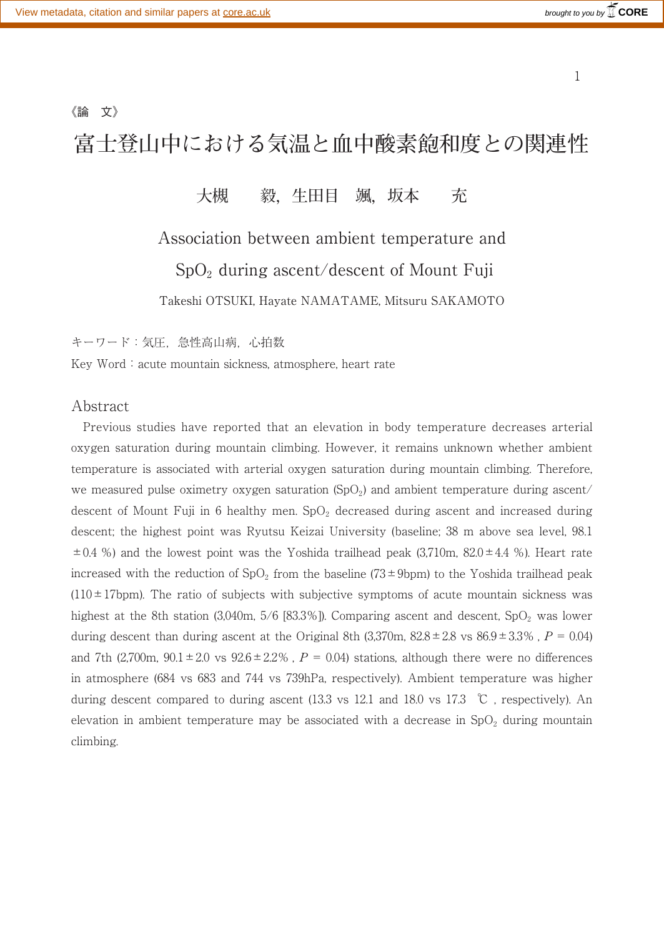$1$ 

## **富士登山中における気温と血中酸素飽和度との関連性**

## **大槻 毅,生田目 颯,坂本 充**

# Association between ambient temperature and  $SpO<sub>2</sub>$  during ascent/descent of Mount Fuji

Takeshi OTSUKI, Hayate NAMATAME, Mitsuru SAKAMOTO

キーワード:気圧,急性高山病,心拍数

Key Word: acute mountain sickness, atmosphere, heart rate

### Abstract

《論 文》

Previous studies have reported that an elevation in body temperature decreases arterial oxygen saturation during mountain climbing. However, it remains unknown whether ambient temperature is associated with arterial oxygen saturation during mountain climbing. Therefore, we measured pulse oximetry oxygen saturation  $(SpO<sub>2</sub>)$  and ambient temperature during ascent/ descent of Mount Fuji in 6 healthy men.  $SpO<sub>2</sub>$  decreased during ascent and increased during descent; the highest point was Ryutsu Keizai University (baseline; 38 m above sea level, 98.1  $\pm 0.4$  %) and the lowest point was the Yoshida trailhead peak (3,710m, 82.0 $\pm 4.4$  %). Heart rate increased with the reduction of  $SpO<sub>2</sub>$  from the baseline (73±9bpm) to the Yoshida trailhead peak  $(110 \pm 17$ bpm). The ratio of subjects with subjective symptoms of acute mountain sickness was highest at the 8th station (3,040m,  $5/6$  [83.3%]). Comparing ascent and descent,  $SpO<sub>2</sub>$  was lower during descent than during ascent at the Original 8th  $(3,370m, 82.8 \pm 2.8 \text{ vs } 86.9 \pm 3.3\%$ ,  $P = 0.04$ ) and 7th (2,700m,  $90.1 \pm 2.0$  vs  $92.6 \pm 2.2$ %,  $P = 0.04$ ) stations, although there were no differences in atmosphere (684 vs 683 and 744 vs 739hPa, respectively). Ambient temperature was higher during descent compared to during ascent (13.3 vs 12.1 and 18.0 vs 17.3 ℃, respectively). An elevation in ambient temperature may be associated with a decrease in  $SpO<sub>2</sub>$  during mountain climbing.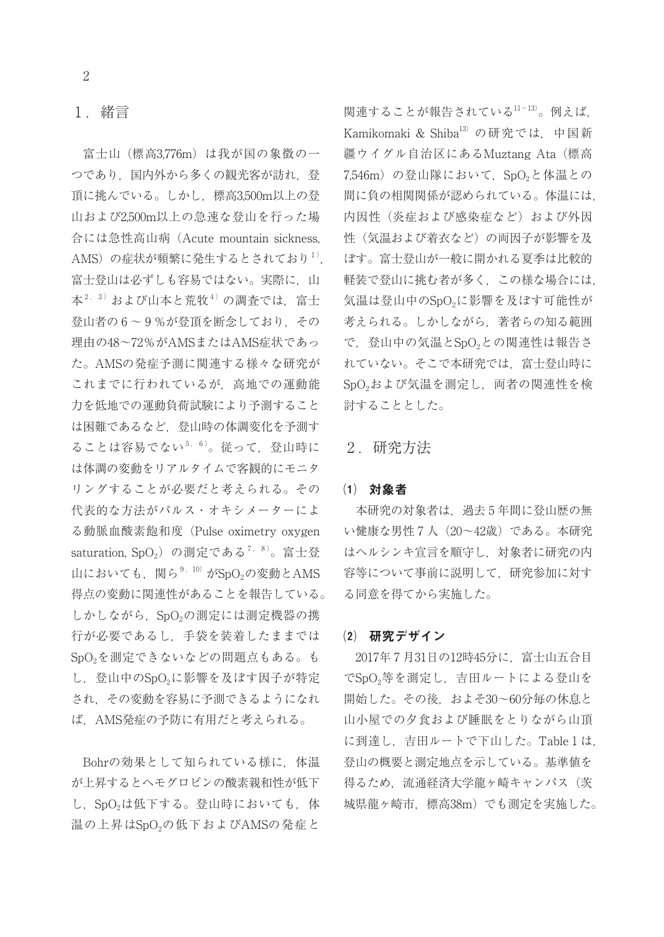## 1 .緒言

富士山(標高3,776m)は我が国の象徴の一 つであり,国内外から多くの観光客が訪れ,登 頂に挑んでいる。しかし,標高3,500m以上の登 山および2,500m以上の急速な登山を行った場 合には急性高山病(Acute mountain sickness, AMS)の症状が頻繁に発生するとされており<sup>1)</sup>. 富士登山は必ずしも容易ではない。実際に、山 本 $2, 3$ ) および山本と荒牧 $4$ ) の調査では、富士 登山者の 6~9%が登頂を断念しており、その 理由の48~72%がAMSまたはAMS症状であっ た。AMSの発症予測に関連する様々な研究が これまでに行われているが,高地での運動能 力を低地での運動負荷試験により予測すること は困難であるなど,登山時の体調変化を予測す ることは容易でない<sup>5,6)</sup>。従って、登山時に は体調の変動をリアルタイムで客観的にモニタ リングすることが必要だと考えられる。その 代表的な方法がパルス・オキシメーターによ る動脈血酸素飽和度(Pulse oximetry oxygen saturation, SpO<sub>2</sub>) の測定である<sup>7, 8)</sup>。富士登 山においても、関ら<sup>9,10</sup> がSpO<sub>2</sub>の変動とAMS 得点の変動に関連性があることを報告している。 しかしながら、SpO<sub>2</sub>の測定には測定機器の携 行が必要であるし,手袋を装着したままでは SpO<sub>2</sub>を測定できないなどの問題点もある。も し、登山中のSpO<sub>2</sub>に影響を及ぼす因子が特定 され,その変動を容易に予測できるようになれ ば,AMS発症の予防に有用だと考えられる。

Bohrの効果として知られている様に、体温 が上昇するとヘモグロビンの酸素親和性が低下 し、SpO<sub>2</sub>は低下する。登山時においても、体 温の上昇はSpO<sub>2</sub>の低下およびAMSの発症と

関連することが報告されている11-13)。例えば, Kamikomaki & Shiba<sup>13)</sup> の研究では、中国新 疆ウイグル自治区にあるMuztang Ata(標高 7,546m)の登山隊において、SpO<sub>2</sub>と体温との 間に負の相関関係が認められている。体温には, 内因性(炎症および感染症など)および外因 性(気温および着衣など)の両因子が影響を及 ぼす。富士登山が一般に開かれる夏季は比較的 軽装で登山に挑む者が多く,この様な場合には, 気温は登山中のSpO2に影響を及ぼす可能性が 考えられる。しかしながら,著者らの知る範囲 で、登山中の気温とSpO<sub>2</sub>との関連性は報告さ れていない。そこで本研究では,富士登山時に SpO<sub>2</sub>および気温を測定し、両者の関連性を検 討することとした。

### 2 .研究方法

#### ⑴ 対象者

本研究の対象者は,過去 5 年間に登山歴の無 い健康な男性 7 人(20~42歳)である。本研究 はヘルシンキ宣言を順守し,対象者に研究の内 容等について事前に説明して,研究参加に対す る同意を得てから実施した。

#### ⑵ 研究デザイン

2017年 7 月31日の12時45分に,富士山五合目 でSpO2等を測定し,吉田ルートによる登山を 開始した。その後,およそ30~60分毎の休息と 山小屋での夕食および睡眠をとりながら山頂 に到達し,吉田ルートで下山した。Table 1 は, 登山の概要と測定地点を示している。基準値を 得るため、流通経済大学龍ヶ崎キャンパス(茨 城県龍ヶ崎市,標高38m)でも測定を実施した。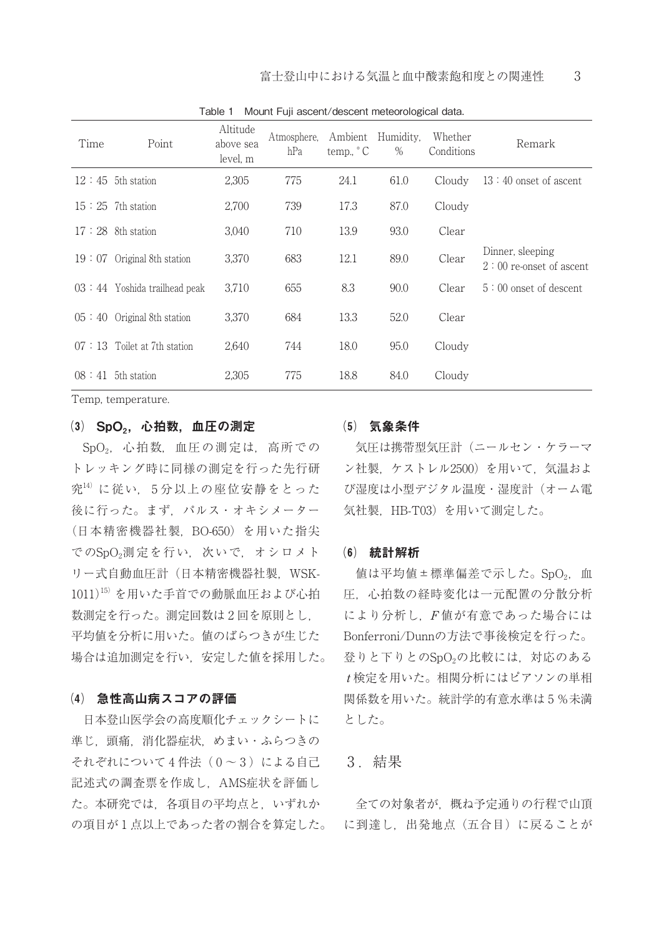| Time  | Point                          | Altitude<br>above sea<br>level, m | Atmosphere,<br>hPa | Ambient<br>temp., $\degree$ C | Humidity.<br>$\%$ | Whether<br>Conditions | Remark                                         |
|-------|--------------------------------|-----------------------------------|--------------------|-------------------------------|-------------------|-----------------------|------------------------------------------------|
|       | $12:45$ 5th station            | 2,305                             | 775                | 24.1                          | 61.0              | Cloudy                | $13:40$ onset of ascent                        |
|       | $15:25$ 7th station            | 2,700                             | 739                | 17.3                          | 87.0              | Cloudy                |                                                |
|       | $17:28$ 8th station            | 3.040                             | 710                | 13.9                          | 93.0              | Clear                 |                                                |
| 19:07 | Original 8th station           | 3.370                             | 683                | 12.1                          | 89.0              | Clear                 | Dinner, sleeping<br>$2:00$ re-onset of ascent. |
|       | $03:44$ Yoshida trailhead peak | 3.710                             | 655                | 8.3                           | 90.0              | Clear                 | $5:00$ onset of descent.                       |
| 05:40 | Original 8th station           | 3,370                             | 684                | 13.3                          | 52.0              | Clear                 |                                                |
| 07:13 | Toilet at 7th station          | 2,640                             | 744                | 18.0                          | 95.0              | Cloudy                |                                                |
|       | $08:41$ 5th station            | 2,305                             | 775                | 18.8                          | 84.0              | Cloudy                |                                                |

Table 1 Mount Fuji ascent/descent meteorological data.

Temp, temperature.

## (3) SpO<sub>2</sub>, 心拍数, 血圧の測定

SpO<sub>2</sub>, 心拍数, 血圧の測定は, 高所での トレッキング時に同様の測定を行った先行研 究14) に従い, 5 分以上の座位安静をとった 後に行った。まず,パルス・オキシメーター (日本精密機器社製,BO-650)を用いた指尖 でのSpO<sub>2</sub>測定を行い,次いで、オシロメト リー式自動血圧計(日本精密機器社製,WSK-1011)<sup>15)</sup> を用いた手首での動脈血圧および心拍 数測定を行った。測定回数は 2 回を原則とし, 平均値を分析に用いた。値のばらつきが生じた 場合は追加測定を行い,安定した値を採用した。

#### ⑷ 急性高山病スコアの評価

日本登山医学会の高度順化チェックシートに 準じ,頭痛,消化器症状,めまい・ふらつきの それぞれについて4件法(0~3)による自己 記述式の調査票を作成し,AMS症状を評価し た。本研究では,各項目の平均点と,いずれか 全ての対象者が,概ね予定通りの行程で山頂 の項目が1点以上であった者の割合を算定した。 に到達し,出発地点(五合目)に戻ることが

#### ⑸ 気象条件

気圧は携帯型気圧計(ニールセン・ケラーマ ン社製,ケストレル2500)を用いて,気温およ び湿度は小型デジタル温度・湿度計(オーム電 気社製,HB-T03)を用いて測定した。

#### ⑹ 統計解析

値は平均値±標準偏差で示した。SpO<sub>2</sub>, 血 圧,心拍数の経時変化は一元配置の分散分析 により分析し,F 値が有意であった場合には Bonferroni/Dunnの方法で事後検定を行った。 登りと下りとのSpO<sub>2</sub>の比較には、対応のある t 検定を用いた。相関分析にはピアソンの単相 関係数を用いた。統計学的有意水準は 5 %未満 とした。

#### 3 .結果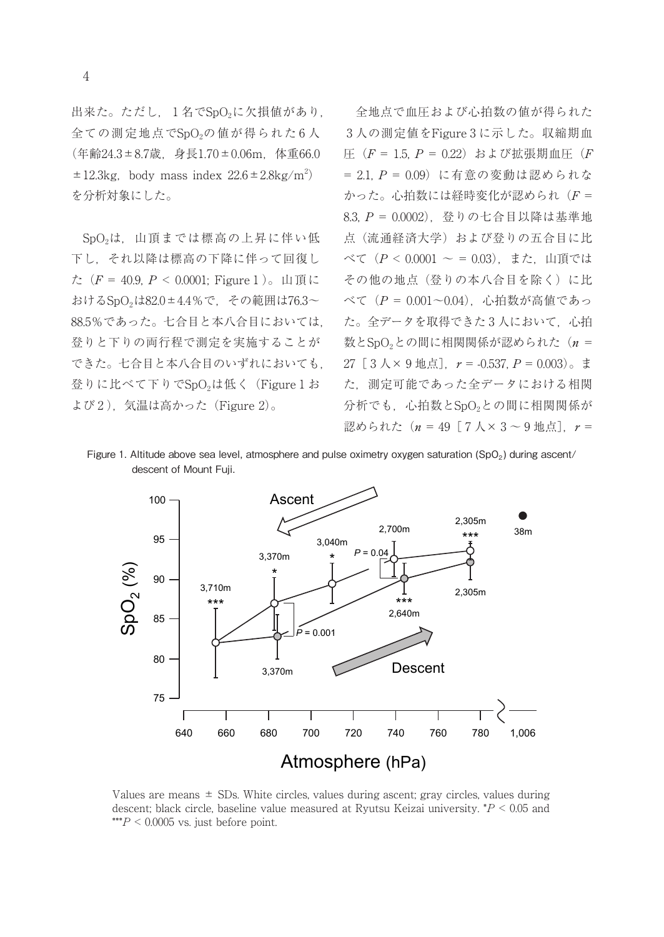出来た。ただし、1名でSpO2に欠損値があり, 全ての測定地点でSpO<sub>2</sub>の値が得られた6人 (年齢24.3±8.7歳,身長1.70±0.06m,体重66.0  $\pm 12.3$ kg, body mass index  $22.6 \pm 2.8$ kg/m<sup>2</sup>) を分析対象にした。

SpO2は,山頂までは標高の上昇に伴い低 下し,それ以降は標高の下降に伴って回復し た  $(F = 40.9, P < 0.0001;$  Figure 1)。山頂に おけるSpO2は82.0±4.4%で,その範囲は76.3~ 88.5%であった。七合目と本八合目においては, 登りと下りの両行程で測定を実施することが できた。七合目と本八合目のいずれにおいても, 登りに比べて下りでSpO<sub>2</sub>は低く (Figure 1 お よび2), 気温は高かった (Figure 2)。

全地点で血圧および心拍数の値が得られた 3 人の測定値をFigure 3 に示した。収縮期血 圧 $(F = 1.5, P = 0.22)$ および拡張期血圧(F  $= 2.1$ ,  $P = 0.09$ ) に有意の変動は認められな かった。心拍数には経時変化が認められ $(F =$ 8.3, P = 0.0002),登りの七合目以降は基準地 点(流通経済大学)および登りの五合目に比 べて(P < 0.0001 ~ = 0.03),また,山頂では その他の地点(登りの本八合目を除く)に比  $\check{\sim}$ て $(P = 0.001 - 0.04)$ , 心拍数が高値であっ た。全データを取得できた3人において、心拍 数とSpO<sub>2</sub>との間に相関関係が認められた(n = いても, 27[3人×9地点],r = -0.537, P = 0.003)。ま<br>re1お た 測完可能であった会データにおける相関 た,測定可能であった全データにおける相関 分析でも、心拍数とSpO2との間に相関関係が 認められた $(n = 49$  [  $7 \text{ A} \times 3 \sim 9$  地点],  $r =$ 

Figure 1. Altitude above sea level, atmosphere and pulse oximetry oxygen saturation (SpO<sub>2</sub>) during ascent/ descent of Mount Fuji.



Values are means  $\pm$  SDs. White circles, values during ascent; gray circles, values during descent; black circle, baseline value measured at Ryutsu Keizai university.  $P < 0.05$  and \*\*\* $P < 0.0005$  vs. just before point.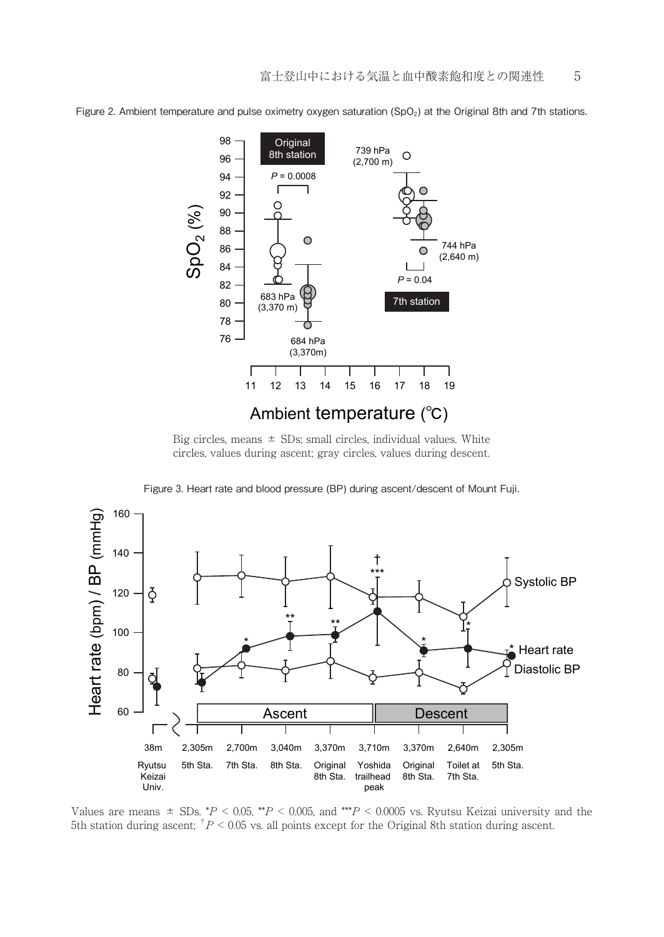

Figure 2. Ambient temperature and pulse oximetry oxygen saturation (SpO<sub>2</sub>) at the Original 8th and 7th stations.

Big circles, means  $\pm$  SDs; small circles, individual values. White circles, values during ascent; gray circles, values during descent.

Figure 3. Heart rate and blood pressure (BP) during ascent/descent of Mount Fuji.



Values are means  $\pm$  SDs. \*P < 0.05, \*P < 0.005, and \*\*P < 0.0005 vs. Ryutsu Keizai university and the 5th station during ascent;  $\binom{p}{0.05}$  vs. all points except for the Original 8th station during ascent.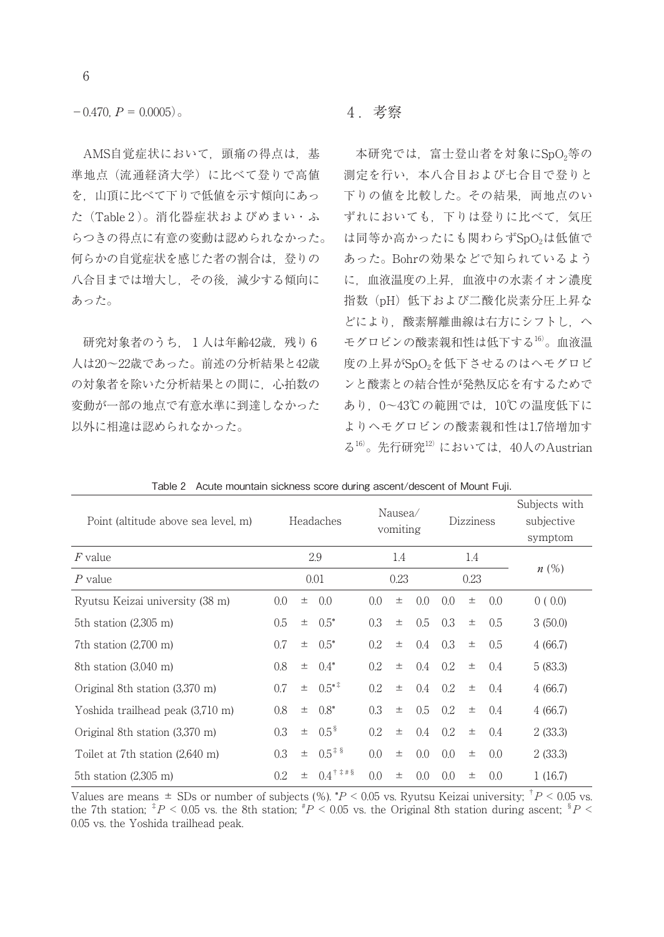$-0.470$ ,  $P = 0.0005$ ).

AMS自覚症状において,頭痛の得点は,基 準地点(流通経済大学)に比べて登りで高値 を,山頂に比べて下りで低値を示す傾向にあっ た(Table 2 )。消化器症状およびめまい・ふ らつきの得点に有意の変動は認められなかった。 何らかの自覚症状を感じた者の割合は,登りの 八合目までは増大し,その後,減少する傾向に あった。

研究対象者のうち、1人は年齢42歳、残り6 人は20~22歳であった。前述の分析結果と42歳 の対象者を除いた分析結果との間に,心拍数の 変動が一部の地点で有意水準に到達しなかった 以外に相違は認められなかった。

#### 4 老察

本研究では、富士登山者を対象にSpO2等の 測定を行い,本八合目および七合目で登りと 下りの値を比較した。その結果,両地点のい ずれにおいても,下りは登りに比べて,気圧 は同等か高かったにも関わらずSpO<sub>2</sub>は低値で あった。Bohrの効果などで知られているよう に,血液温度の上昇,血液中の水素イオン濃度 指数(pH)低下および二酸化炭素分圧上昇な どにより,酸素解離曲線は右方にシフトし,ヘ モグロビンの酸素親和性は低下する16)。血液温 度の上昇がSpO<sub>2</sub>を低下させるのはヘモグロビ ンと酸素との結合性が発熱反応を有するためで あり,0~43℃の範囲では,10℃の温度低下に よりヘモグロビンの酸素親和性は1.7倍増加す る $16$ 。先行研究 $12$ )においては、40人のAustrian

| Point (altitude above sea level, m) |      | Headaches |                        |         | Nausea/<br>vomiting |     |         | <b>Dizziness</b> |     | Subjects with<br>subjective<br>symptom |
|-------------------------------------|------|-----------|------------------------|---------|---------------------|-----|---------|------------------|-----|----------------------------------------|
| $F$ value                           |      | 2.9       |                        | 1.4     |                     | 1.4 |         |                  |     |                                        |
| $P$ value                           | 0.01 |           | 0.23                   |         | 0.23                |     |         | n(%)             |     |                                        |
| Ryutsu Keizai university (38 m)     | 0.0  | 土         | 0.0                    | 0.0     | 土                   | 0.0 | 0.0     | $\pm$            | 0.0 | 0(0.0)                                 |
| 5th station $(2,305 \text{ m})$     | 0.5  | $\pm$     | $0.5^*$                | 0.3     | 土                   | 0.5 | 0.3     | $\pm$            | 0.5 | 3(50.0)                                |
| 7th station $(2,700 \text{ m})$     |      | 土         | $0.5^*$                | $0.2\,$ | 士                   | 0.4 | 0.3     | $\pm$            | 0.5 | 4(66.7)                                |
| $8th$ station $(3.040 \text{ m})$   |      | $\pm$     | $0.4*$                 | 0.2     | 士                   | 0.4 | 0.2     | $\pm$            | 0.4 | 5(83.3)                                |
| Original 8th station (3,370 m)      |      | $\pm$     | $0.5^{*}$              | 0.2     | $\pm$               | 0.4 | 0.2     | $\pm$            | 0.4 | 4(66.7)                                |
| Yoshida trailhead peak (3,710 m)    | 0.8  | 土         | $0.8^*$                | 0.3     | 士                   | 0.5 | $0.2\,$ | $\pm$            | 0.4 | 4(66.7)                                |
| Original 8th station (3,370 m)      | 0.3  | 土         | $0.5^{\,8}$            | 0.2     | $\pm$               | 0.4 | 0.2     | $\pm$            | 0.4 | 2(33.3)                                |
| Toilet at 7th station (2,640 m)     |      | $\pm$     | $0.5*$                 | 0.0     | 土                   | 0.0 | 0.0     | 士                | 0.0 | 2(33.3)                                |
| 5th station $(2,305 \text{ m})$     |      | $\pm$     | $0.4$ <sup>† ‡#§</sup> | 0.0     | 土                   | 0.0 | 0.0     | 士                | 0.0 | 1(16.7)                                |

Table 2 Acute mountain sickness score during ascent/descent of Mount Fuji.

Values are means  $\pm$  SDs or number of subjects (%).  $P < 0.05$  vs. Ryutsu Keizai university;  $P < 0.05$  vs. the 7th station;  ${}^{3}P$  < 0.05 vs. the 8th station;  ${}^{4}P$  < 0.05 vs. the Original 8th station during ascent;  ${}^{8}P$  < 0.05 vs. the Yoshida trailhead peak.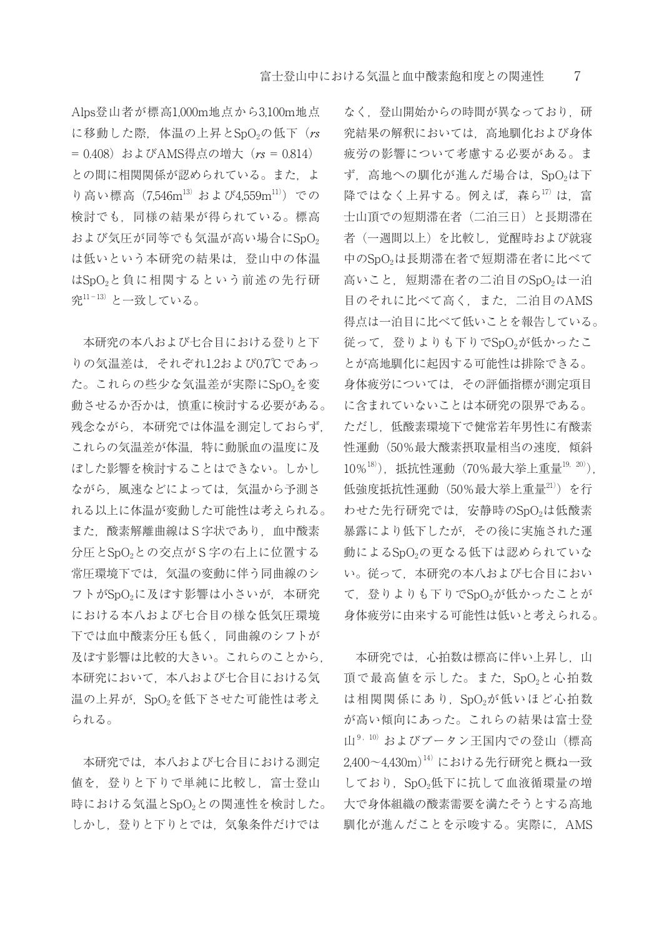Alps登山者が標高1,000m地点から3,100m地点 に移動した際,体温の上昇とSpO<sub>2</sub>の低下( $rs$ = 0.408) およびAMS得点の増大 (rs = 0.814) との間に相関関係が認められている。また、よ り高い標高 (7.546m<sup>13)</sup> および4.559m<sup>11)</sup>) での 検討でも,同様の結果が得られている。標高 および気圧が同等でも気温が高い場合にSpO。 は低いという本研究の結果は、登山中の体温 はSpO<sub>2</sub>と負に相関するという前述の先行研 究 $11-13$ )と一致している。

本研究の本八および七合目における登りと下 りの気温差は、それぞれ1.2および0.7℃であっ た。これらの些少な気温差が実際にSpO2を変 動させるか否かは,慎重に検討する必要がある。 残念ながら,本研究では体温を測定しておらず, これらの気温差が体温,特に動脈血の温度に及 ぼした影響を検討することはできない。しかし ながら,風速などによっては,気温から予測さ れる以上に体温が変動した可能性は考えられる。 また,酸素解離曲線はS字状であり,血中酸素 分圧とSpO<sub>2</sub>との交点がS字の右上に位置する 常圧環境下では,気温の変動に伴う同曲線のシ フトがSpO2に及ぼす影響は小さいが、本研究 における本八および七合目の様な低気圧環境 下では血中酸素分圧も低く,同曲線のシフトが 及ぼす影響は比較的大きい。これらのことから, 本研究において,本八および七合目における気 温の上昇が, SpO<sub>2</sub>を低下させた可能性は考え られる。

本研究では,本八および七合目における測定 値を,登りと下りで単純に比較し,富士登山 時における気温とSpO<sub>2</sub>との関連性を検討した。 しかし,登りと下りとでは,気象条件だけでは

なく、登山開始からの時間が異なっており、研 究結果の解釈においては,高地馴化および身体 疲労の影響について考慮する必要がある。ま ず、高地への馴化が進んだ場合は、SpO2は下 降ではなく上昇する。例えば、森ら17)は、富 士山頂での短期滞在者(二泊三日)と長期滞在 者(一週間以上)を比較し,覚醒時および就寝 中のSpO2は長期滞在者で短期滞在者に比べて 高いこと、短期滞在者の二泊目のSpO<sub>2</sub>は一泊 目のそれに比べて高く,また,二泊目のAMS 得点は一泊目に比べて低いことを報告している。 従って、登りよりも下りでSpO2が低かったこ とが高地馴化に起因する可能性は排除できる。 身体疲労については,その評価指標が測定項目 に含まれていないことは本研究の限界である。 ただし,低酸素環境下で健常若年男性に有酸素 性運動(50%最大酸素摂取量相当の速度,傾斜 10%18)),抵抗性運動(70%最大挙上重量19,20)), 低強度抵抗性運動(50%最大挙上重量21))を行 わせた先行研究では、安静時のSpO2は低酸素 暴露により低下したが,その後に実施された運 動によるSpO<sub>2</sub>の更なる低下は認められていな い。従って,本研究の本八および七合目におい て、登りよりも下りでSpO<sub>2</sub>が低かったことが 身体疲労に由来する可能性は低いと考えられる。

本研究では、心拍数は標高に伴い上昇し、山 頂で最高値を示した。また、SpO2と心拍数 は相関関係にあり、SpO2が低いほど心拍数 が高い傾向にあった。これらの結果は富士登  $\mathbf{H}^{9,10}$  およびブータン王国内での登山(標高 2,400~4,430m)<sup>14)</sup>における先行研究と概ね一致 しており、SpO2低下に抗して血液循環量の増 大で身体組織の酸素需要を満たそうとする高地 馴化が進んだことを示唆する。実際に,AMS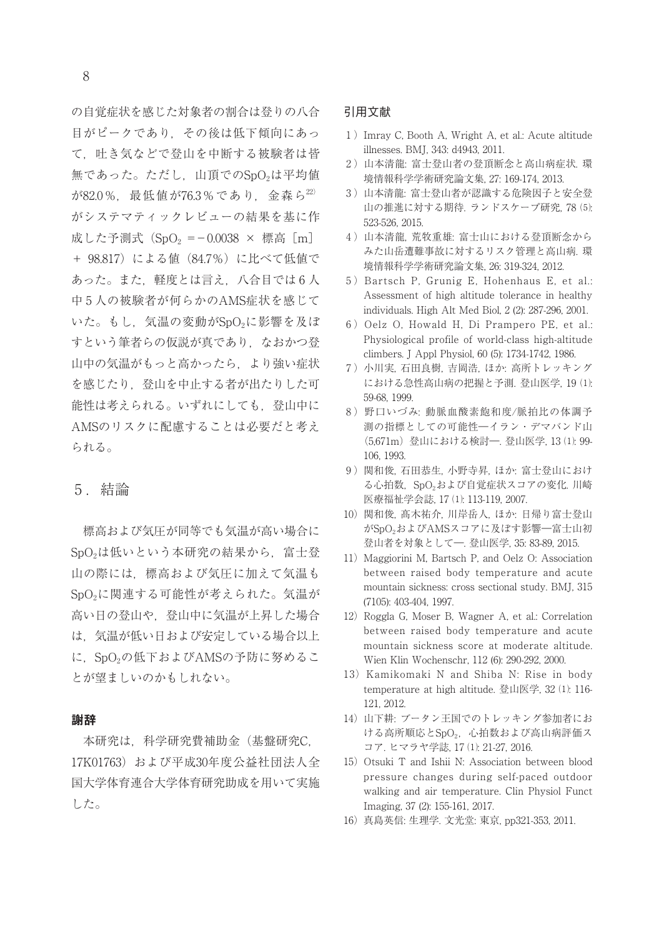の自覚症状を感じた対象者の割合は登りの八合 目がピークであり,その後は低下傾向にあっ て,吐き気などで登山を中断する被験者は皆 無であった。ただし、山頂でのSpO<sub>2</sub>は平均値 が82.0%, 最低値が76.3%であり, 金森ら22) がシステマティックレビューの結果を基に作 成した予測式 (SpO<sub>2</sub> =-0.0038 × 標高 [m] + 98.817)による値 (84.7%)に比べて低値で あった。また、軽度とは言え、八合目では6人 中 5 人の被験者が何らかのAMS症状を感じて いた。もし、気温の変動がSpO2に影響を及ぼ すという筆者らの仮説が真であり、なおかつ登 山中の気温がもっと高かったら,より強い症状 を感じたり,登山を中止する者が出たりした可 能性は考えられる。いずれにしても、登山中に AMSのリスクに配慮することは必要だと考え られる。

## 5 .結論

標高および気圧が同等でも気温が高い場合に SpO<sub>2</sub>は低いという本研究の結果から、富士登 山の際には,標高および気圧に加えて気温も SpO<sub>2</sub>に関連する可能性が考えられた。気温が 高い日の登山や,登山中に気温が上昇した場合 は,気温が低い日および安定している場合以上 に、SpO<sub>2</sub>の低下およびAMSの予防に努めるこ とが望ましいのかもしれない。

#### 謝辞

本研究は,科学研究費補助金(基盤研究C, 17K01763) および平成30年度公益社団法人全 国大学体育連合大学体育研究助成を用いて実施 した。

#### 引用文献

- 1 )Imray C, Booth A, Wright A, et al.: Acute altitude illnesses. BMJ, 343: d4943, 2011.
- 2 )山本清龍: 富士登山者の登頂断念と高山病症状. 環 境情報科学学術研究論文集, 27: 169-174, 2013.
- 3 )山本清龍: 富士登山者が認識する危険因子と安全登 山の推進に対する期待. ランドスケープ研究, 78 ⑸: 523-526, 2015.
- 4 )山本清龍, 荒牧重雄: 富士山における登頂断念から みた山岳遭難事故に対するリスク管理と高山病. 環 境情報科学学術研究論文集, 26: 319-324, 2012.
- 5) Bartsch P, Grunig E, Hohenhaus E, et al.: Assessment of high altitude tolerance in healthy individuals. High Alt Med Biol, 2 (2): 287-296, 2001.
- 6) Oelz O, Howald H, Di Prampero PE, et al.: Physiological profile of world-class high-altitude climbers. J Appl Physiol, 60 (5): 1734-1742, 1986.
- 7 )小川実, 石田良樹, 吉岡浩, ほか: 高所トレッキング における急性高山病の把握と予測. 登山医学, 19 ⑴: 59-68, 1999.
- 8 )野口いづみ: 動脈血酸素飽和度/脈拍比の体調予 測の指標としての可能性―イラン・デマバンド山 (5,671m)登山における検討―. 登山医学, 13 ⑴: 99- 106, 1993.
- 9 )関和俊, 石田恭生, 小野寺昇, ほか: 富士登山におけ る心拍数, SpO2および自覚症状スコアの変化. 川崎 医療福祉学会誌, 17 ⑴: 113-119, 2007.
- 10)関和俊, 髙木祐介, 川岸岳人, ほか: 日帰り富士登山 がSpO2およびAMSスコアに及ぼす影響―富士山初 登山者を対象として―. 登山医学, 35: 83-89, 2015.
- 11) Maggiorini M, Bartsch P, and Oelz O: Association between raised body temperature and acute mountain sickness: cross sectional study. BMJ, 315 (7105): 403-404, 1997.
- 12) Roggla G, Moser B, Wagner A, et al.: Correlation between raised body temperature and acute mountain sickness score at moderate altitude. Wien Klin Wochenschr, 112 (6): 290-292, 2000.
- 13) Kamikomaki N and Shiba N: Rise in body temperature at high altitude. 登山医学, 32 ⑴: 116- 121, 2012.
- 14) 山下耕: ブータン王国でのトレッキング参加者にお ける高所順応とSpO2, 心拍数および高山病評価ス コア. ヒマラヤ学誌, 17 ⑴: 21-27, 2016.
- 15) Otsuki T and Ishii N: Association between blood pressure changes during self-paced outdoor walking and air temperature. Clin Physiol Funct Imaging, 37 (2): 155-161, 2017.
- 16)真島英信: 生理学. 文光堂: 東京, pp321-353, 2011.